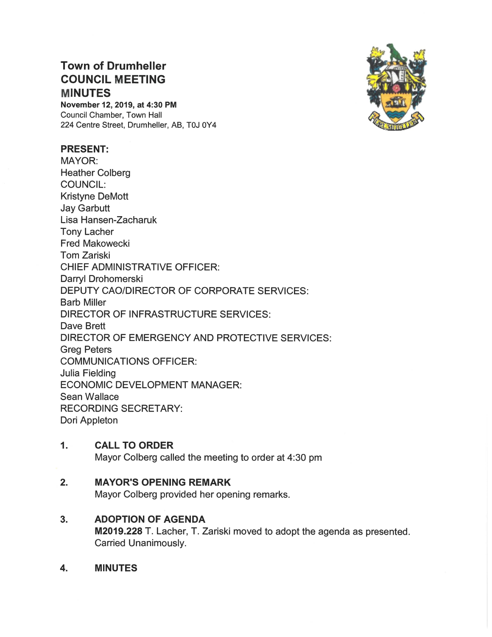# COUNCIL MEETING Town of Drumheller **MINUTES**

November 12, 2019, at 4:30 PM Council Chamber, Town Hall 224 Centre Street, Drumheller, AB, TOJ OY4

### PRESENT:

MAYOR: Heather Colberg COUNCIL: Kristyne DeMott Jay Garbutt Lisa Hansen-Zacharuk Tony Lacher Fred Makowecki Tom Zariski CHIEF ADMINISTRATIVE OFFICER: Darryl Drohomerski DEPUTY CAO/DIRECTOR OF CORPORATE SERVICES: Barb Miller DIRECTOR OF INFRASTRUCTURE SERVICES: Dave Brett DIRECTOR OF EMERGENCY AND PROTECTIVE SERVICES: Greg Peters COMMUNICATIONS OFFICER: Julia Fielding ECONOMIC DEVELOPMENT MANAGER: Sean Wallace RECORDING SECRETARY: Dori Appleton

### 1. CALL TO ORDER

Mayor Colberg called the meeting to order at 4:30 pm

### 2. MAYOR'S OPENING REMARK

Mayor Colberg provided her opening remarks.

## 3. ADOPTION OF AGENDA

M2019.228 T. Lacher, T. Zariski moved to adopt the agenda as presented. Carried Unanimously.

4. MINUTES

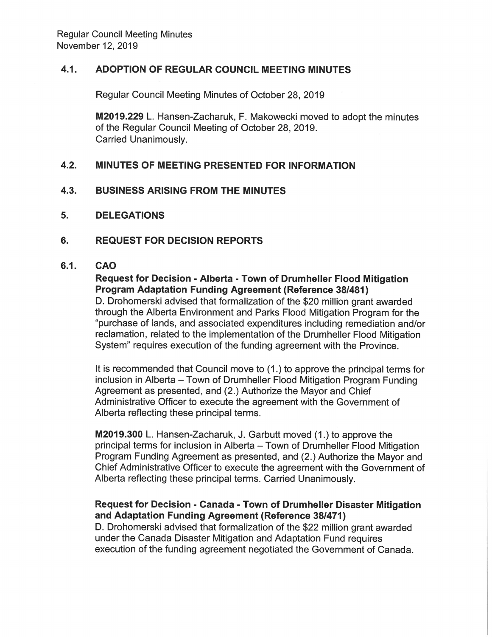#### $4.1.$ ADOPTION OF REGULAR COUNCIL MEETING MINUTES

Regular Council Meeting Minutes of October 28, 2019

M2019.229 L. Hansen-Zacharuk, F. Makowecki moved to adopt the minutes of the Regular Council Meeting of October 28, 2019. **Carried Unanimously.** 

### $4.2.$ **MINUTES OF MEETING PRESENTED FOR INFORMATION**

- $4.3.$ **BUSINESS ARISING FROM THE MINUTES**
- 5. **DELEGATIONS**

#### 6. **REQUEST FOR DECISION REPORTS**

#### $6.1.$ **CAO**

## Request for Decision - Alberta - Town of Drumheller Flood Mitigation **Program Adaptation Funding Agreement (Reference 38/481)**

D. Drohomerski advised that formalization of the \$20 million grant awarded through the Alberta Environment and Parks Flood Mitigation Program for the "purchase of lands, and associated expenditures including remediation and/or reclamation, related to the implementation of the Drumheller Flood Mitigation System" requires execution of the funding agreement with the Province.

It is recommended that Council move to (1.) to approve the principal terms for inclusion in Alberta – Town of Drumheller Flood Mitigation Program Funding Agreement as presented, and (2.) Authorize the Mayor and Chief Administrative Officer to execute the agreement with the Government of Alberta reflecting these principal terms.

M2019.300 L. Hansen-Zacharuk, J. Garbutt moved (1.) to approve the principal terms for inclusion in Alberta – Town of Drumheller Flood Mitigation Program Funding Agreement as presented, and (2.) Authorize the Mayor and Chief Administrative Officer to execute the agreement with the Government of Alberta reflecting these principal terms. Carried Unanimously.

### Request for Decision - Canada - Town of Drumheller Disaster Mitigation and Adaptation Funding Agreement (Reference 38/471)

D. Drohomerski advised that formalization of the \$22 million grant awarded under the Canada Disaster Mitigation and Adaptation Fund requires execution of the funding agreement negotiated the Government of Canada.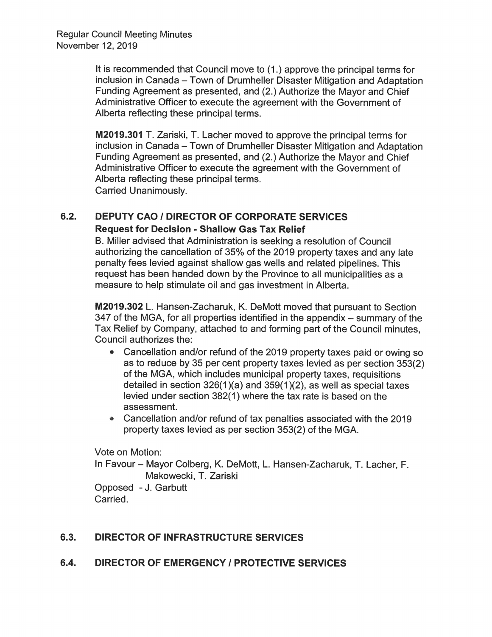It is recommended that Council move to (1.) approve the principal terms for inclusion in Canada – Town of Drumheller Disaster Mitigation and Adaptation Funding Agreement as presented, and (2.) Authorize the Mayor and Chief Administrative Officer to execute the agreement with the Government of Alberta reflecting these principal terms.

M2019.301 T. Zariski, T. Lacher moved to approve the principal terms for inclusion in Canada – Town of Drumheller Disaster Mitigation and Adaptation Funding Agreement as presented, and (2.) Authorize the Mayor and Chief Administrative Officer to execute the agreement with the Government of Alberta reflecting these principal terms. **Carried Unanimously.** 

### $6.2.$ **DEPUTY CAO / DIRECTOR OF CORPORATE SERVICES Request for Decision - Shallow Gas Tax Relief**

B. Miller advised that Administration is seeking a resolution of Council authorizing the cancellation of 35% of the 2019 property taxes and any late penalty fees levied against shallow gas wells and related pipelines. This request has been handed down by the Province to all municipalities as a measure to help stimulate oil and gas investment in Alberta.

M2019.302 L. Hansen-Zacharuk, K. DeMott moved that pursuant to Section 347 of the MGA, for all properties identified in the appendix – summary of the Tax Relief by Company, attached to and forming part of the Council minutes. Council authorizes the:

- Cancellation and/or refund of the 2019 property taxes paid or owing so as to reduce by 35 per cent property taxes levied as per section 353(2) of the MGA, which includes municipal property taxes, requisitions detailed in section 326(1)(a) and 359(1)(2), as well as special taxes levied under section 382(1) where the tax rate is based on the assessment.
- Cancellation and/or refund of tax penalties associated with the 2019 property taxes levied as per section 353(2) of the MGA.

Vote on Motion:

In Favour - Mayor Colberg, K. DeMott, L. Hansen-Zacharuk, T. Lacher, F. Makowecki, T. Zariski

Opposed - J. Garbutt Carried.

### $6.3.$ **DIRECTOR OF INFRASTRUCTURE SERVICES**

### $6.4.$ **DIRECTOR OF EMERGENCY / PROTECTIVE SERVICES**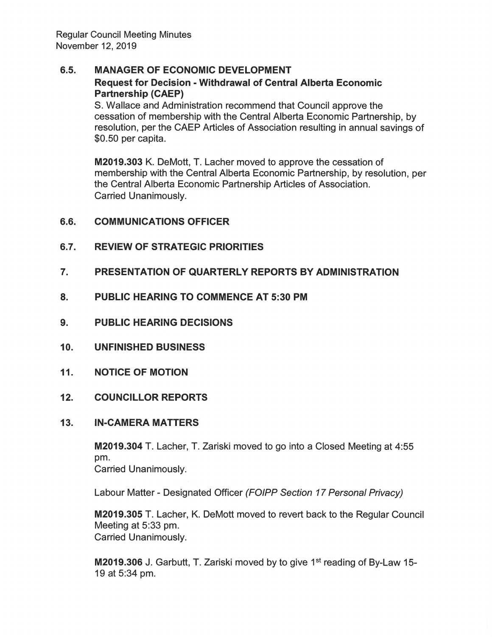### $6.5.$ **MANAGER OF ECONOMIC DEVELOPMENT Request for Decision - Withdrawal of Central Alberta Economic Partnership (CAEP)**

S. Wallace and Administration recommend that Council approve the cessation of membership with the Central Alberta Economic Partnership, by resolution, per the CAEP Articles of Association resulting in annual savings of \$0.50 per capita.

M2019.303 K. DeMott, T. Lacher moved to approve the cessation of membership with the Central Alberta Economic Partnership, by resolution, per the Central Alberta Economic Partnership Articles of Association. Carried Unanimouslv.

- $6.6.$ **COMMUNICATIONS OFFICER**
- **REVIEW OF STRATEGIC PRIORITIES**  $6.7.$
- $\overline{7}$ . PRESENTATION OF QUARTERLY REPORTS BY ADMINISTRATION
- 8. **PUBLIC HEARING TO COMMENCE AT 5:30 PM**
- 9. **PUBLIC HEARING DECISIONS**
- $10<sub>1</sub>$ **UNFINISHED BUSINESS**
- $11.$ **NOTICE OF MOTION**

### $12.$ **COUNCILLOR REPORTS**

### $13.$ **IN-CAMERA MATTERS**

M2019.304 T. Lacher, T. Zariski moved to go into a Closed Meeting at 4:55 pm.

**Carried Unanimously.** 

Labour Matter - Designated Officer (FOIPP Section 17 Personal Privacy)

M2019.305 T. Lacher, K. DeMott moved to revert back to the Regular Council Meeting at 5:33 pm. **Carried Unanimously.** 

M2019.306 J. Garbutt, T. Zariski moved by to give 1<sup>st</sup> reading of By-Law 15-19 at 5:34 pm.